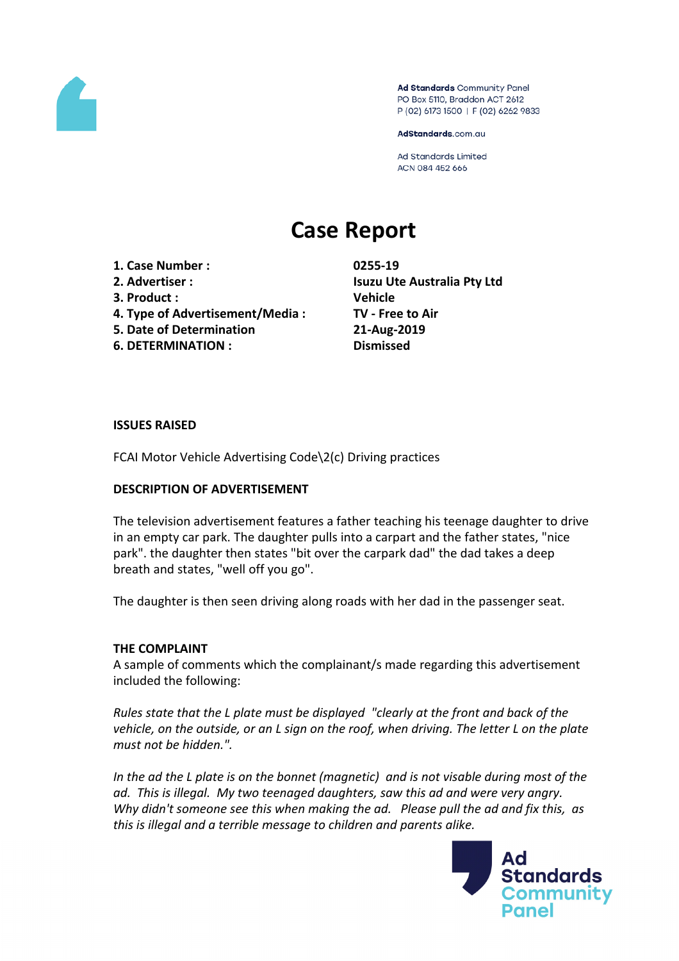

Ad Standards Community Panel PO Box 5110, Braddon ACT 2612 P (02) 6173 1500 | F (02) 6262 9833

AdStandards.com.au

**Ad Standards Limited** ACN 084 452 666

# **Case Report**

- **1. Case Number : 0255-19**
- 
- **3. Product : Vehicle**
- **4. Type of Advertisement/Media : TV - Free to Air**
- **5. Date of Determination 21-Aug-2019**
- **6. DETERMINATION : Dismissed**

**2. Advertiser : Isuzu Ute Australia Pty Ltd**

### **ISSUES RAISED**

FCAI Motor Vehicle Advertising Code\2(c) Driving practices

### **DESCRIPTION OF ADVERTISEMENT**

The television advertisement features a father teaching his teenage daughter to drive in an empty car park. The daughter pulls into a carpart and the father states, "nice park". the daughter then states "bit over the carpark dad" the dad takes a deep breath and states, "well off you go".

The daughter is then seen driving along roads with her dad in the passenger seat.

# **THE COMPLAINT**

A sample of comments which the complainant/s made regarding this advertisement included the following:

*Rules state that the L plate must be displayed "clearly at the front and back of the vehicle, on the outside, or an L sign on the roof, when driving. The letter L on the plate must not be hidden.".*

*In the ad the L plate is on the bonnet (magnetic) and is not visable during most of the ad. This is illegal. My two teenaged daughters, saw this ad and were very angry. Why didn't someone see this when making the ad. Please pull the ad and fix this, as this is illegal and a terrible message to children and parents alike.*

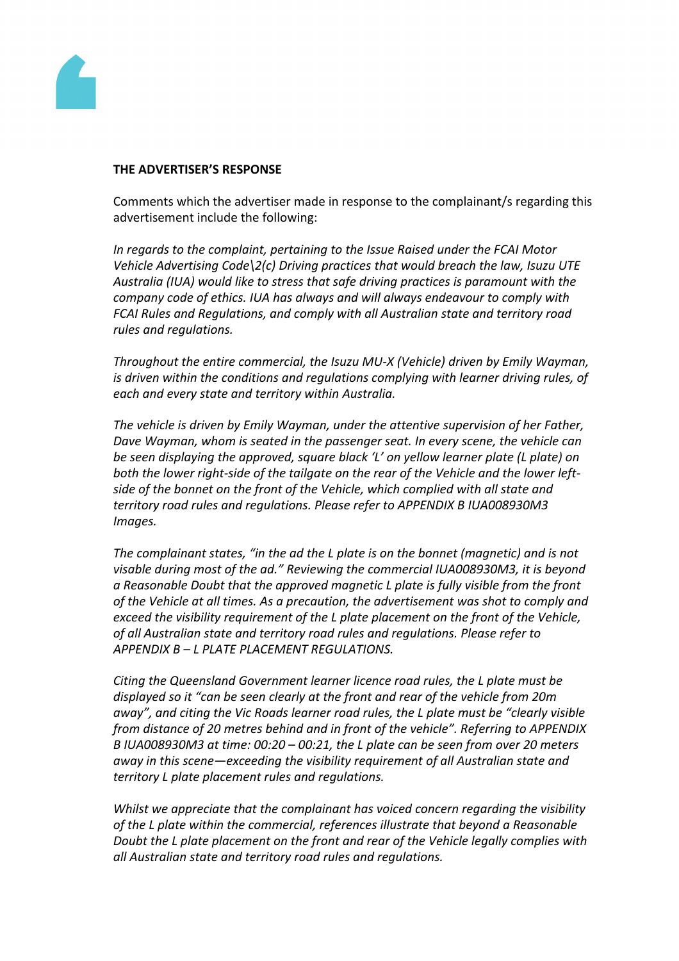

#### **THE ADVERTISER'S RESPONSE**

Comments which the advertiser made in response to the complainant/s regarding this advertisement include the following:

*In regards to the complaint, pertaining to the Issue Raised under the FCAI Motor Vehicle Advertising Code\2(c) Driving practices that would breach the law, Isuzu UTE Australia (IUA) would like to stress that safe driving practices is paramount with the company code of ethics. IUA has always and will always endeavour to comply with FCAI Rules and Regulations, and comply with all Australian state and territory road rules and regulations.*

*Throughout the entire commercial, the Isuzu MU-X (Vehicle) driven by Emily Wayman, is driven within the conditions and regulations complying with learner driving rules, of each and every state and territory within Australia.*

*The vehicle is driven by Emily Wayman, under the attentive supervision of her Father, Dave Wayman, whom is seated in the passenger seat. In every scene, the vehicle can be seen displaying the approved, square black 'L' on yellow learner plate (L plate) on both the lower right-side of the tailgate on the rear of the Vehicle and the lower leftside of the bonnet on the front of the Vehicle, which complied with all state and territory road rules and regulations. Please refer to APPENDIX B IUA008930M3 Images.*

*The complainant states, "in the ad the L plate is on the bonnet (magnetic) and is not visable during most of the ad." Reviewing the commercial IUA008930M3, it is beyond a Reasonable Doubt that the approved magnetic L plate is fully visible from the front of the Vehicle at all times. As a precaution, the advertisement was shot to comply and exceed the visibility requirement of the L plate placement on the front of the Vehicle, of all Australian state and territory road rules and regulations. Please refer to APPENDIX B – L PLATE PLACEMENT REGULATIONS.*

*Citing the Queensland Government learner licence road rules, the L plate must be displayed so it "can be seen clearly at the front and rear of the vehicle from 20m away", and citing the Vic Roads learner road rules, the L plate must be "clearly visible from distance of 20 metres behind and in front of the vehicle". Referring to APPENDIX B IUA008930M3 at time: 00:20 – 00:21, the L plate can be seen from over 20 meters away in this scene—exceeding the visibility requirement of all Australian state and territory L plate placement rules and regulations.*

*Whilst we appreciate that the complainant has voiced concern regarding the visibility of the L plate within the commercial, references illustrate that beyond a Reasonable Doubt the L plate placement on the front and rear of the Vehicle legally complies with all Australian state and territory road rules and regulations.*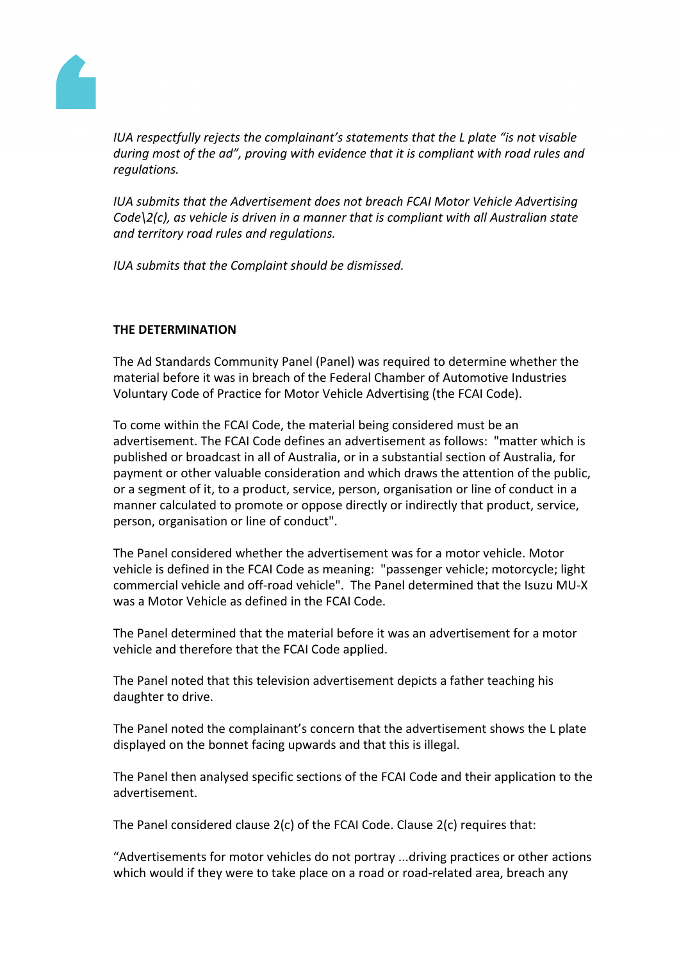

*IUA respectfully rejects the complainant's statements that the L plate "is not visable during most of the ad", proving with evidence that it is compliant with road rules and regulations.*

*IUA submits that the Advertisement does not breach FCAI Motor Vehicle Advertising Code\2(c), as vehicle is driven in a manner that is compliant with all Australian state and territory road rules and regulations.*

*IUA submits that the Complaint should be dismissed.*

# **THE DETERMINATION**

The Ad Standards Community Panel (Panel) was required to determine whether the material before it was in breach of the Federal Chamber of Automotive Industries Voluntary Code of Practice for Motor Vehicle Advertising (the FCAI Code).

To come within the FCAI Code, the material being considered must be an advertisement. The FCAI Code defines an advertisement as follows: "matter which is published or broadcast in all of Australia, or in a substantial section of Australia, for payment or other valuable consideration and which draws the attention of the public, or a segment of it, to a product, service, person, organisation or line of conduct in a manner calculated to promote or oppose directly or indirectly that product, service, person, organisation or line of conduct".

The Panel considered whether the advertisement was for a motor vehicle. Motor vehicle is defined in the FCAI Code as meaning: "passenger vehicle; motorcycle; light commercial vehicle and off-road vehicle". The Panel determined that the Isuzu MU-X was a Motor Vehicle as defined in the FCAI Code.

The Panel determined that the material before it was an advertisement for a motor vehicle and therefore that the FCAI Code applied.

The Panel noted that this television advertisement depicts a father teaching his daughter to drive.

The Panel noted the complainant's concern that the advertisement shows the L plate displayed on the bonnet facing upwards and that this is illegal.

The Panel then analysed specific sections of the FCAI Code and their application to the advertisement.

The Panel considered clause 2(c) of the FCAI Code. Clause 2(c) requires that:

"Advertisements for motor vehicles do not portray ...driving practices or other actions which would if they were to take place on a road or road-related area, breach any